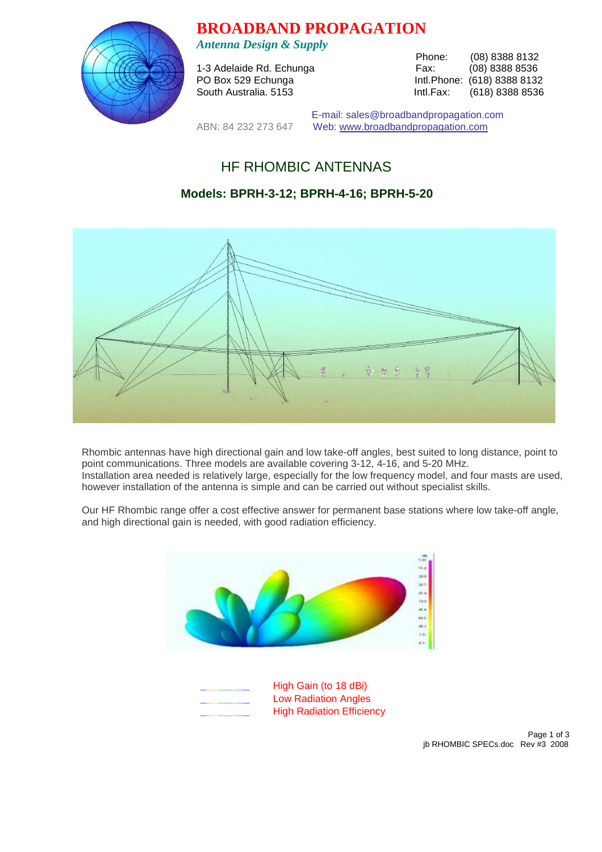

**BROADBAND PROPAGATION** 

*Antenna Design & Supply* 

1-3 Adelaide Rd. Echunga

Phone: (08) 8388 8132<br>Fax: (08) 8388 8536 PO Box 529 Echunga Intl.Phone: (618) 8388 8132 South Australia. 5153 **Intl.Fax:** (618) 8388 8536

 E-mail: sales@broadbandpropagation.com ABN: 84 232 273 647 Web: www.broadbandpropagation.com

# HF RHOMBIC ANTENNAS

# **Models: BPRH-3-12; BPRH-4-16; BPRH-5-20**



Rhombic antennas have high directional gain and low take-off angles, best suited to long distance, point to point communications. Three models are available covering 3-12, 4-16, and 5-20 MHz. Installation area needed is relatively large, especially for the low frequency model, and four masts are used, however installation of the antenna is simple and can be carried out without specialist skills.

Our HF Rhombic range offer a cost effective answer for permanent base stations where low take-off angle, and high directional gain is needed, with good radiation efficiency.

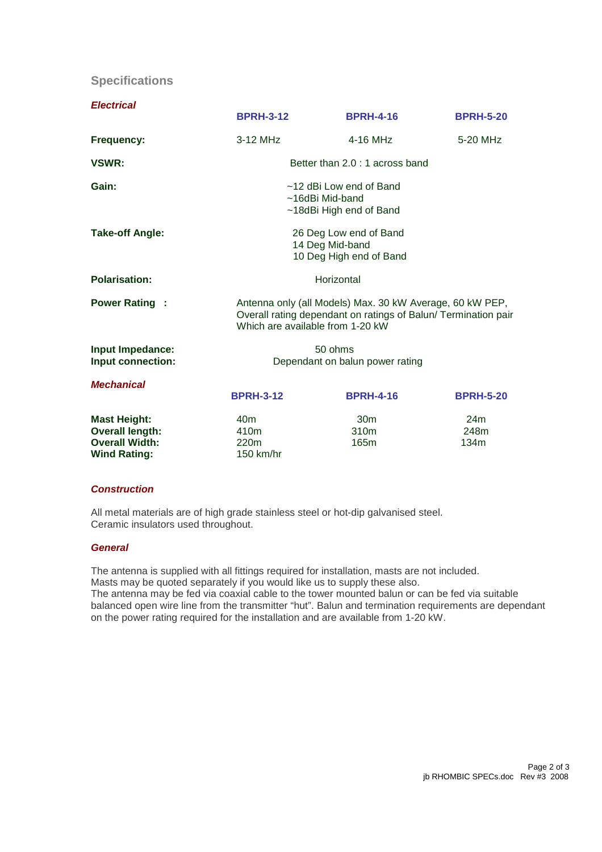## **Specifications**

| <b>Electrical</b>                                                                             |                                                                                                                                                                |                                             |                     |
|-----------------------------------------------------------------------------------------------|----------------------------------------------------------------------------------------------------------------------------------------------------------------|---------------------------------------------|---------------------|
|                                                                                               | <b>BPRH-3-12</b>                                                                                                                                               | <b>BPRH-4-16</b>                            | <b>BPRH-5-20</b>    |
| Frequency:                                                                                    | 3-12 MHz                                                                                                                                                       | $4-16$ MHz                                  | 5-20 MHz            |
| VSWR:                                                                                         | Better than 2.0 : 1 across band                                                                                                                                |                                             |                     |
| Gain:                                                                                         | ~12 dBi Low end of Band<br>~16dBi Mid-band<br>~18dBi High end of Band                                                                                          |                                             |                     |
| <b>Take-off Angle:</b>                                                                        | 26 Deg Low end of Band<br>14 Deg Mid-band<br>10 Deg High end of Band                                                                                           |                                             |                     |
| <b>Polarisation:</b>                                                                          | Horizontal                                                                                                                                                     |                                             |                     |
| <b>Power Rating:</b>                                                                          | Antenna only (all Models) Max. 30 kW Average, 60 kW PEP,<br>Overall rating dependant on ratings of Balun/ Termination pair<br>Which are available from 1-20 kW |                                             |                     |
| Input Impedance:<br>Input connection:                                                         | 50 ohms<br>Dependant on balun power rating                                                                                                                     |                                             |                     |
| <b>Mechanical</b>                                                                             | <b>BPRH-3-12</b>                                                                                                                                               | <b>BPRH-4-16</b>                            | <b>BPRH-5-20</b>    |
| <b>Mast Height:</b><br><b>Overall length:</b><br><b>Overall Width:</b><br><b>Wind Rating:</b> | 40 <sub>m</sub><br>410 <sub>m</sub><br>220 <sub>m</sub><br>$150$ km/hr                                                                                         | 30 <sub>m</sub><br>310 <sub>m</sub><br>165m | 24m<br>248m<br>134m |

#### **Construction**

All metal materials are of high grade stainless steel or hot-dip galvanised steel. Ceramic insulators used throughout.

#### **General**

The antenna is supplied with all fittings required for installation, masts are not included. Masts may be quoted separately if you would like us to supply these also.

The antenna may be fed via coaxial cable to the tower mounted balun or can be fed via suitable balanced open wire line from the transmitter "hut". Balun and termination requirements are dependant on the power rating required for the installation and are available from 1-20 kW.